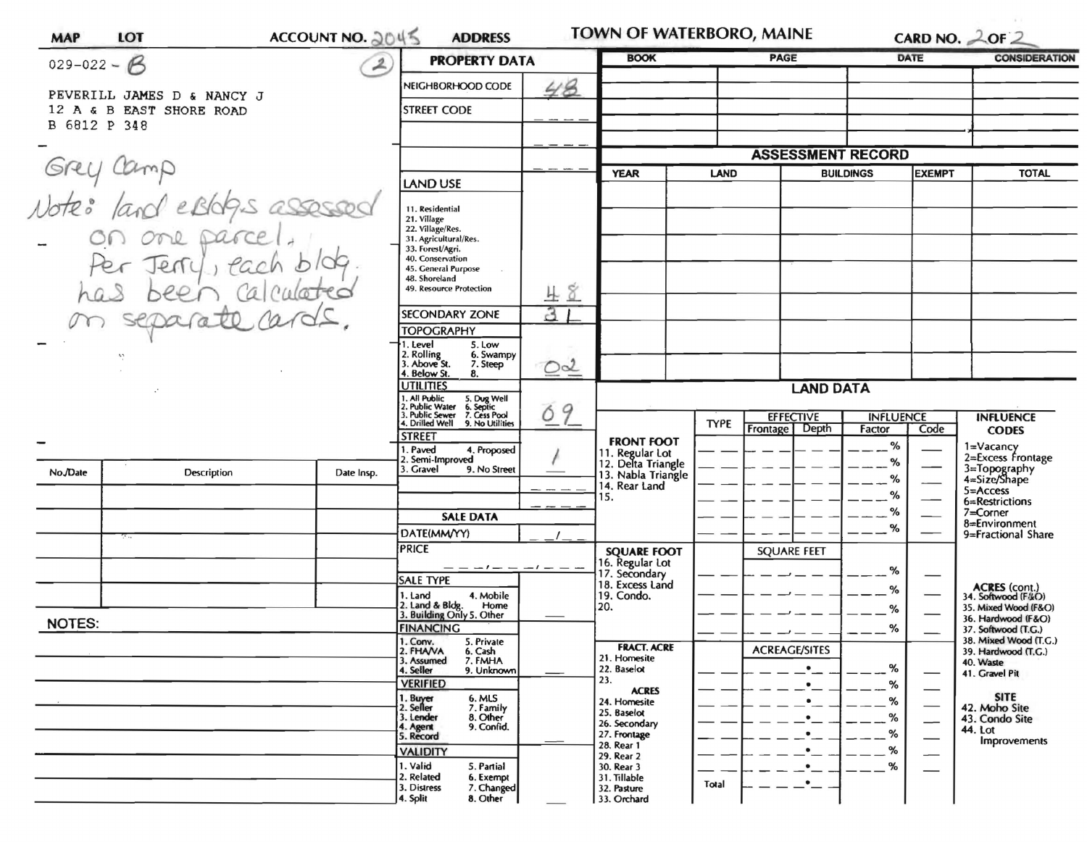| $029 - 022 - B$                           |                                                        | <b>PROPERTY DATA</b> |                                                                                                                         | <b>BOOK</b>  |                                                               | <b>PAGE</b>                                                   |                                       | DATE                       | <b>CONSIDERATION</b>     |                                                              |
|-------------------------------------------|--------------------------------------------------------|----------------------|-------------------------------------------------------------------------------------------------------------------------|--------------|---------------------------------------------------------------|---------------------------------------------------------------|---------------------------------------|----------------------------|--------------------------|--------------------------------------------------------------|
|                                           |                                                        | $\overline{2}$       | NEIGHBORHOOD CODE                                                                                                       | 48           |                                                               |                                                               |                                       |                            |                          |                                                              |
|                                           | PEVERILL JAMES D & NANCY J<br>12 A & B EAST SHORE ROAD |                      | <b>STREET CODE</b>                                                                                                      |              |                                                               |                                                               |                                       |                            |                          |                                                              |
| B 6812 P 348                              |                                                        |                      |                                                                                                                         |              |                                                               |                                                               |                                       |                            |                          |                                                              |
|                                           |                                                        |                      |                                                                                                                         |              |                                                               |                                                               |                                       |                            |                          |                                                              |
| Grey Camp<br>Note: land estables assessed |                                                        |                      |                                                                                                                         | <b>YEAR</b>  | <b>LAND</b>                                                   | <b>ASSESSMENT RECORD</b><br><b>BUILDINGS</b><br><b>EXEMPT</b> |                                       |                            | <b>TOTAL</b>             |                                                              |
|                                           |                                                        |                      | LAND USE                                                                                                                |              |                                                               |                                                               |                                       |                            |                          |                                                              |
|                                           |                                                        |                      | 11. Residential                                                                                                         |              |                                                               |                                                               |                                       |                            |                          |                                                              |
|                                           |                                                        |                      | 21. Village<br>22. Village/Res.                                                                                         |              |                                                               |                                                               |                                       |                            |                          |                                                              |
|                                           | on one parcel.<br>Per Jerry, each b                    |                      | 31. Agricultural/Res.<br>33. Forest/Agri.                                                                               |              |                                                               |                                                               |                                       |                            |                          |                                                              |
|                                           |                                                        |                      | 40. Conservation<br>45. General Purpose                                                                                 |              |                                                               |                                                               |                                       |                            |                          |                                                              |
|                                           | ca<br>been                                             |                      | 48. Shoreland<br>49. Resource Protection                                                                                | 48           |                                                               |                                                               |                                       |                            |                          |                                                              |
|                                           |                                                        |                      | <b>SECONDARY ZONE</b>                                                                                                   | $\mathbf{3}$ |                                                               |                                                               |                                       |                            |                          |                                                              |
|                                           | separato<br>10                                         | <b>TOPOGRAPHY</b>    |                                                                                                                         |              |                                                               |                                                               |                                       |                            |                          |                                                              |
|                                           |                                                        |                      | 1. Level<br>5. Low                                                                                                      |              |                                                               |                                                               |                                       |                            |                          |                                                              |
| $\mathbf{r},\mathbf{v}$                   |                                                        |                      | 2. Rolling<br>3. Above St.<br>6. Swampy<br>7. Steep                                                                     | OQ           |                                                               |                                                               |                                       |                            |                          |                                                              |
|                                           |                                                        |                      | 4. Below St.<br>8.<br><b>UTILITIES</b>                                                                                  |              |                                                               | <b>LAND DATA</b>                                              |                                       |                            |                          |                                                              |
|                                           |                                                        |                      | 1. All Public<br>2. Public Water<br>3. Public Sewer<br>5. Dug Well<br>6. Septic<br>7. Cess Pool<br>9. No Utilities<br>9 |              |                                                               |                                                               |                                       |                            |                          |                                                              |
|                                           |                                                        |                      | Ó<br>4. Drilled Well                                                                                                    |              |                                                               | <b>TYPE</b>                                                   | <b>EFFECTIVE</b><br>Depth<br>Frontage | <b>INFLUENCE</b><br>Factor | Code                     | <b>INFLUENCE</b><br><b>CODES</b>                             |
|                                           |                                                        |                      | <b>STREET</b><br>4. Proposed<br>. Paved                                                                                 |              | <b>FRONT FOOT</b>                                             |                                                               |                                       | %                          |                          | 1=Vacancy<br>2=Excess Frontage                               |
| No./Date                                  | Description                                            | Date Insp.           | 2. Semi-Improved<br>3. Gravel<br>9. No Street                                                                           |              | 11. Regular Lot<br>12. Delta Triangle<br>13. Nabla Triangle   |                                                               |                                       | %                          |                          |                                                              |
|                                           |                                                        |                      |                                                                                                                         |              | 14. Rear Land<br>15.<br><b>SQUARE FOOT</b><br>16. Regular Lot |                                                               |                                       | %                          |                          | 3=Topography<br>4=Size/Shape<br>$5 =$ Access                 |
|                                           |                                                        |                      |                                                                                                                         |              |                                                               |                                                               |                                       | %<br>%                     |                          | 6=Restrictions<br>$7 =$ Corner                               |
|                                           |                                                        |                      | <b>SALE DATA</b>                                                                                                        |              |                                                               |                                                               |                                       | %                          |                          | 8=Environment                                                |
|                                           | $\tau$                                                 |                      | DATE(MM/YY)<br><b>PRICE</b>                                                                                             |              |                                                               |                                                               | <b>SQUARE FEET</b>                    |                            |                          | 9=Fractional Share                                           |
|                                           |                                                        |                      | $--- - - -$                                                                                                             |              |                                                               |                                                               |                                       | %                          |                          |                                                              |
|                                           |                                                        |                      | <b>SALE TYPE</b>                                                                                                        |              | 17. Secondary<br>18. Excess Land                              |                                                               |                                       | %                          |                          |                                                              |
|                                           |                                                        |                      | 1. Land<br>4. Mobile<br>2. Land & Bldg. Home<br>3. Building Only 5. Other<br>Home                                       |              | 19. Condo.<br>20.                                             |                                                               |                                       | %                          |                          | ACRES (cont.)<br>34. Softwood (F/kO)<br>35. Mixed Wood (F&O) |
| <b>NOTES:</b>                             |                                                        |                      | <b>FINANCING</b>                                                                                                        |              |                                                               |                                                               |                                       | $- -$ %                    |                          | 36. Hardwood (F&O)<br>37. Softwood (T.G.)                    |
|                                           |                                                        |                      | 1. Conv.<br>5. Private                                                                                                  |              | <b>FRACT. ACRE</b>                                            |                                                               | <b>ACREAGE/SITES</b>                  |                            |                          | 38. Mixed Wood (T.G.)                                        |
|                                           |                                                        |                      | 2. FHANA<br>6. Cash<br>7. FMHA<br>3. Assumed                                                                            |              | 21. Homesite<br>22. Baselot                                   |                                                               |                                       | %                          |                          | 39. Hardwood (T.G.)<br>40. Waste                             |
|                                           |                                                        |                      | 9. Unknown<br>4. Seller<br><b>VERIFIED</b>                                                                              |              | 23.                                                           |                                                               | $\bullet$                             | %                          | $\qquad \qquad$          | 41. Gravel Pit                                               |
|                                           |                                                        |                      | 1. Buyer<br>2. Seller<br>6. MLS<br>7. Family                                                                            |              | <b>ACRES</b><br>24. Homesite                                  |                                                               |                                       | %                          | $\qquad \qquad$          | <b>SITE</b><br>42. Moho Site                                 |
|                                           |                                                        |                      | 3. Lender<br>8. Other<br>4. Agent<br>9. Confid.                                                                         |              | 25. Baselot<br>26. Secondary                                  |                                                               |                                       | %                          | $\overline{\phantom{0}}$ | 43. Condo Site                                               |
|                                           |                                                        |                      | 5. Record                                                                                                               |              | 27. Frontage<br>28. Rear 1                                    |                                                               |                                       | %                          |                          | 44. Lot<br>Improvements                                      |
|                                           |                                                        |                      | <b>VALIDITY</b>                                                                                                         |              | 29. Rear 2                                                    |                                                               |                                       | %                          | —                        |                                                              |
|                                           |                                                        |                      |                                                                                                                         |              |                                                               |                                                               |                                       |                            |                          |                                                              |
|                                           |                                                        |                      | 1. Valid<br>5. Partial<br>2. Related<br>6. Exempt<br>3. Distress<br>7. Changed                                          |              | 30. Rear 3<br>31. Tillable<br>32. Pasture                     | Total                                                         |                                       | %                          |                          |                                                              |